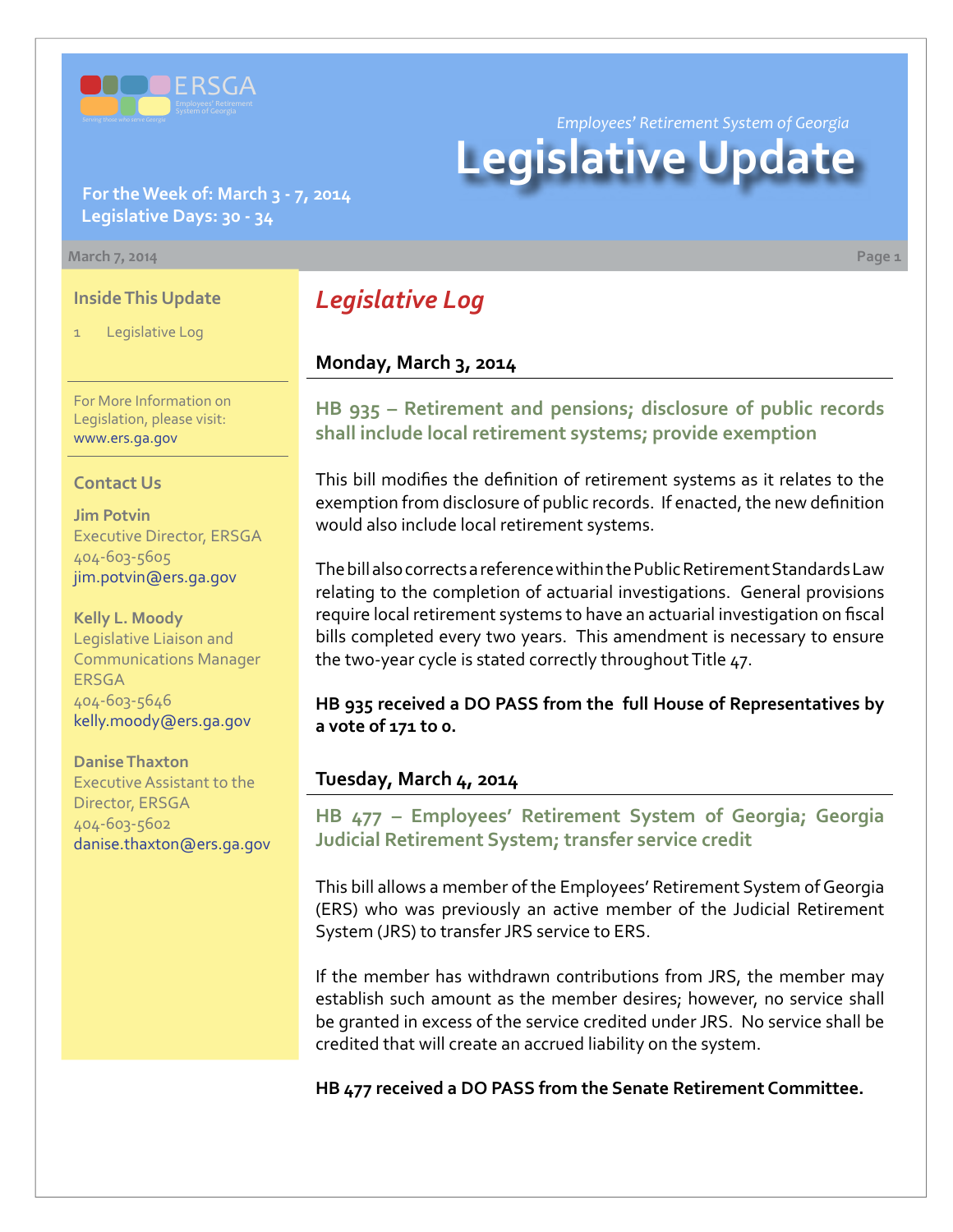

**For the Week of: March 3 - 7, 2014 Legislative Days: 30 - 34**

#### **March 7, 2014 Page 1**

#### **Inside This Update**

Legislative Log

For More Information on Legislation, please visit: [www.ers.ga.gov](http://www.ers.ga.gov/default.aspx)

#### **Contact Us**

**Jim Potvin** Executive Director, ERSGA 404-603-5605 jim.potvin@ers.ga.gov

**Kelly L. Moody** Legislative Liaison and Communications Manager ERSGA 404-603-5646 kelly.moody@ers.ga.gov

**Danise Thaxton** Executive Assistant to the Director, ERSGA 404-603-5602 danise.thaxton@ers.ga.gov

# *Legislative Log*

#### **Monday, March 3, 2014**

**HB [935 – R](http://www.legis.ga.gov/legislation/en-US/Display/20132014/HB/935)etirement and pensions; disclosure of public records shall include local retirement systems; provide exemption**

This bill modifies the definition of retirement systems as it relates to the exemption from disclosure of public records. If enacted, the new definition would also include local retirement systems.

The bill also corrects a reference within the Public Retirement Standards Law relating to the completion of actuarial investigations. General provisions require local retirement systems to have an actuarial investigation on fiscal bills completed every two years. This amendment is necessary to ensure the two-year cycle is stated correctly throughout Title 47.

**HB 935 received a DO PASS from the full House of Representatives by a vote of 171 to 0.**

#### **Tuesday, March 4, 2014**

**HB [477 –](http://www.legis.ga.gov/legislation/en-US/Display/20132014/HB/477) Employees' Retirement System of Georgia; Georgia Judicial Retirement System; transfer service credit**

This bill allows a member of the Employees' Retirement System of Georgia (ERS) who was previously an active member of the Judicial Retirement System (JRS) to transfer JRS service to ERS.

If the member has withdrawn contributions from JRS, the member may establish such amount as the member desires; however, no service shall be granted in excess of the service credited under JRS. No service shall be credited that will create an accrued liability on the system.

**HB 477 received a DO PASS from the Senate Retirement Committee.** 

*Employees' Retirement System of Georgia*

# **Legislative Update**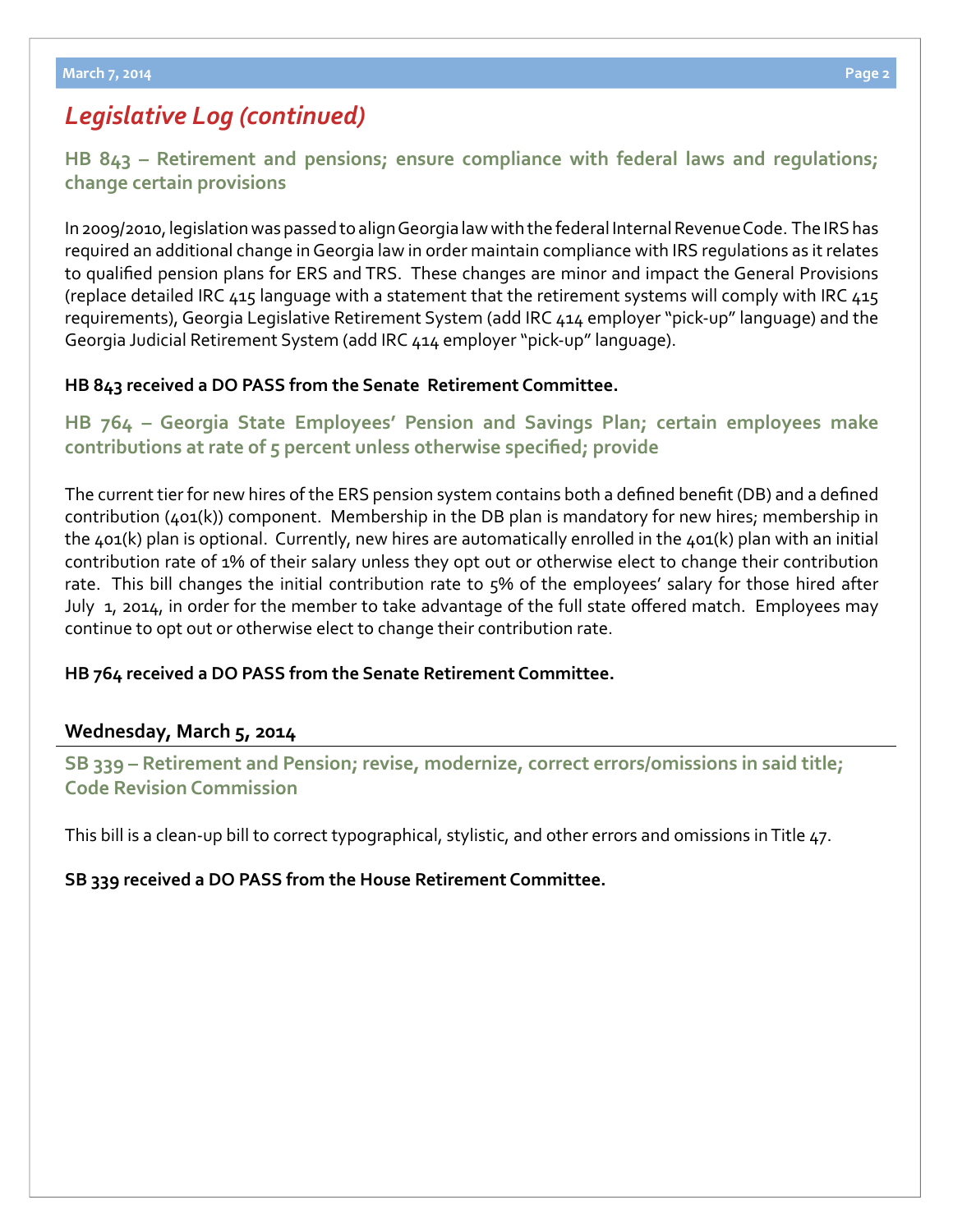# *Legislative Log (continued)*

**HB [843 – R](http://www.legis.ga.gov/legislation/en-US/Display/20132014/HB/843)etirement and pensions; ensure compliance with federal laws and regulations; change certain provisions**

In 2009/2010, legislation was passed to align Georgia law with the federal Internal Revenue Code. The IRS has required an additional change in Georgia law in order maintain compliance with IRS regulations as it relates to qualified pension plans for ERS and TRS. These changes are minor and impact the General Provisions (replace detailed IRC 415 language with a statement that the retirement systems will comply with IRC 415 requirements), Georgia Legislative Retirement System (add IRC 414 employer "pick-up" language) and the Georgia Judicial Retirement System (add IRC 414 employer "pick-up" language).

## **HB 843 received a DO PASS from the Senate Retirement Committee.**

# **HB [764 – G](http://www.legis.ga.gov/legislation/en-US/Display/20132014/HB/764)eorgia State Employees' Pension and Savings Plan; certain employees make contributions at rate of 5 percent unless otherwise specified; provide**

The current tier for new hires of the ERS pension system contains both a defined benefit (DB) and a defined contribution (401(k)) component. Membership in the DB plan is mandatory for new hires; membership in the 401(k) plan is optional. Currently, new hires are automatically enrolled in the 401(k) plan with an initial contribution rate of 1% of their salary unless they opt out or otherwise elect to change their contribution rate. This bill changes the initial contribution rate to 5% of the employees' salary for those hired after July 1, 2014, in order for the member to take advantage of the full state offered match. Employees may continue to opt out or otherwise elect to change their contribution rate.

### **HB 764 received a DO PASS from the Senate Retirement Committee.**

# **Wednesday, March 5, 2014**

**S[B 339 –](http://www.legis.ga.gov/legislation/en-US/Display/20132014/SB/339) Retirement and Pension; revise, modernize, correct errors/omissions in said title; Code Revision Commission**

This bill is a clean-up bill to correct typographical, stylistic, and other errors and omissions in Title 47.

**SB 339 received a DO PASS from the House Retirement Committee.**